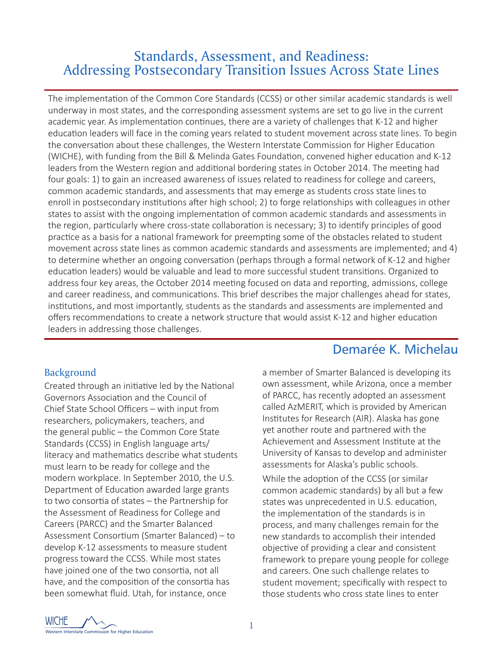## Standards, Assessment, and Readiness: Addressing Postsecondary Transition Issues Across State Lines

The implementation of the Common Core Standards (CCSS) or other similar academic standards is well underway in most states, and the corresponding assessment systems are set to go live in the current academic year. As implementation continues, there are a variety of challenges that K-12 and higher education leaders will face in the coming years related to student movement across state lines. To begin the conversation about these challenges, the Western Interstate Commission for Higher Education (WICHE), with funding from the Bill & Melinda Gates Foundation, convened higher education and K-12 leaders from the Western region and additional bordering states in October 2014. The meeting had four goals: 1) to gain an increased awareness of issues related to readiness for college and careers, common academic standards, and assessments that may emerge as students cross state lines to enroll in postsecondary institutions after high school; 2) to forge relationships with colleagues in other states to assist with the ongoing implementation of common academic standards and assessments in the region, particularly where cross-state collaboration is necessary; 3) to identify principles of good practice as a basis for a national framework for preempting some of the obstacles related to student movement across state lines as common academic standards and assessments are implemented; and 4) to determine whether an ongoing conversation (perhaps through a formal network of K-12 and higher education leaders) would be valuable and lead to more successful student transitions. Organized to address four key areas, the October 2014 meeting focused on data and reporting, admissions, college and career readiness, and communications. This brief describes the major challenges ahead for states, institutions, and most importantly, students as the standards and assessments are implemented and offers recommendations to create a network structure that would assist K-12 and higher education leaders in addressing those challenges.

## Background

Created through an initiative led by the National Governors Association and the Council of Chief State School Officers – with input from researchers, policymakers, teachers, and the general public – the Common Core State Standards (CCSS) in English language arts/ literacy and mathematics describe what students must learn to be ready for college and the modern workplace. In September 2010, the U.S. Department of Education awarded large grants to two consortia of states – the Partnership for the Assessment of Readiness for College and Careers (PARCC) and the Smarter Balanced Assessment Consortium (Smarter Balanced) – to develop K-12 assessments to measure student progress toward the CCSS. While most states have joined one of the two consortia, not all have, and the composition of the consortia has been somewhat fluid. Utah, for instance, once

# Demarée K. Michelau

a member of Smarter Balanced is developing its own assessment, while Arizona, once a member of PARCC, has recently adopted an assessment called AzMERIT, which is provided by American Institutes for Research (AIR). Alaska has gone yet another route and partnered with the Achievement and Assessment Institute at the University of Kansas to develop and administer assessments for Alaska's public schools.

While the adoption of the CCSS (or similar common academic standards) by all but a few states was unprecedented in U.S. education, the implementation of the standards is in process, and many challenges remain for the new standards to accomplish their intended objective of providing a clear and consistent framework to prepare young people for college and careers. One such challenge relates to student movement; specifically with respect to those students who cross state lines to enter

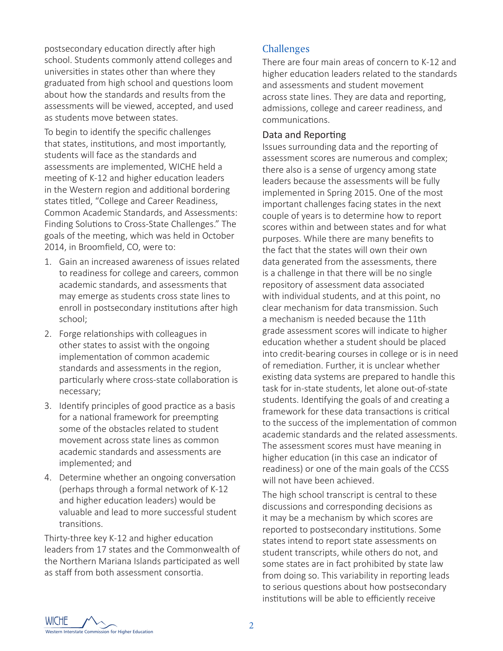postsecondary education directly after high school. Students commonly attend colleges and universities in states other than where they graduated from high school and questions loom about how the standards and results from the assessments will be viewed, accepted, and used as students move between states.

To begin to identify the specific challenges that states, institutions, and most importantly, students will face as the standards and assessments are implemented, WICHE held a meeting of K-12 and higher education leaders in the Western region and additional bordering states titled, "College and Career Readiness, Common Academic Standards, and Assessments: Finding Solutions to Cross-State Challenges." The goals of the meeting, which was held in October 2014, in Broomfield, CO, were to:

- 1. Gain an increased awareness of issues related to readiness for college and careers, common academic standards, and assessments that may emerge as students cross state lines to enroll in postsecondary institutions after high school;
- 2. Forge relationships with colleagues in other states to assist with the ongoing implementation of common academic standards and assessments in the region, particularly where cross-state collaboration is necessary;
- 3. Identify principles of good practice as a basis for a national framework for preempting some of the obstacles related to student movement across state lines as common academic standards and assessments are implemented; and
- 4. Determine whether an ongoing conversation (perhaps through a formal network of K-12 and higher education leaders) would be valuable and lead to more successful student transitions.

Thirty-three key K-12 and higher education leaders from 17 states and the Commonwealth of the Northern Mariana Islands participated as well as staff from both assessment consortia.

## **Challenges**

There are four main areas of concern to K-12 and higher education leaders related to the standards and assessments and student movement across state lines. They are data and reporting, admissions, college and career readiness, and communications.

#### Data and Reporting

Issues surrounding data and the reporting of assessment scores are numerous and complex; there also is a sense of urgency among state leaders because the assessments will be fully implemented in Spring 2015. One of the most important challenges facing states in the next couple of years is to determine how to report scores within and between states and for what purposes. While there are many benefits to the fact that the states will own their own data generated from the assessments, there is a challenge in that there will be no single repository of assessment data associated with individual students, and at this point, no clear mechanism for data transmission. Such a mechanism is needed because the 11th grade assessment scores will indicate to higher education whether a student should be placed into credit-bearing courses in college or is in need of remediation. Further, it is unclear whether existing data systems are prepared to handle this task for in-state students, let alone out-of-state students. Identifying the goals of and creating a framework for these data transactions is critical to the success of the implementation of common academic standards and the related assessments. The assessment scores must have meaning in higher education (in this case an indicator of readiness) or one of the main goals of the CCSS will not have been achieved.

The high school transcript is central to these discussions and corresponding decisions as it may be a mechanism by which scores are reported to postsecondary institutions. Some states intend to report state assessments on student transcripts, while others do not, and some states are in fact prohibited by state law from doing so. This variability in reporting leads to serious questions about how postsecondary institutions will be able to efficiently receive

WICHE Western Interstate Commission for Higher Education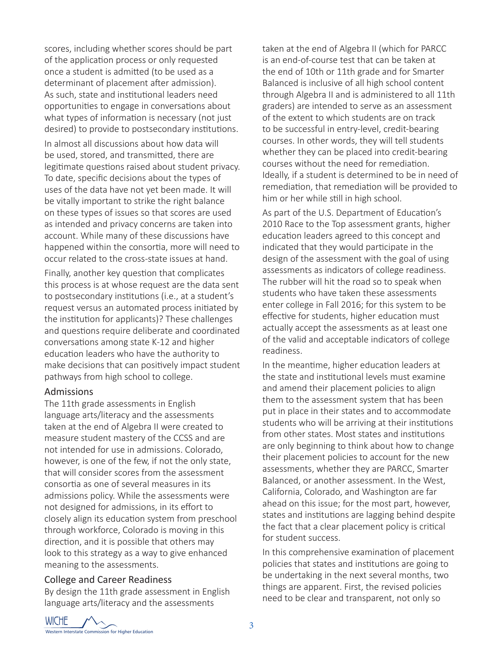scores, including whether scores should be part of the application process or only requested once a student is admitted (to be used as a determinant of placement after admission). As such, state and institutional leaders need opportunities to engage in conversations about what types of information is necessary (not just desired) to provide to postsecondary institutions.

In almost all discussions about how data will be used, stored, and transmitted, there are legitimate questions raised about student privacy. To date, specific decisions about the types of uses of the data have not yet been made. It will be vitally important to strike the right balance on these types of issues so that scores are used as intended and privacy concerns are taken into account. While many of these discussions have happened within the consortia, more will need to occur related to the cross-state issues at hand.

Finally, another key question that complicates this process is at whose request are the data sent to postsecondary institutions (i.e., at a student's request versus an automated process initiated by the institution for applicants)? These challenges and questions require deliberate and coordinated conversations among state K-12 and higher education leaders who have the authority to make decisions that can positively impact student pathways from high school to college.

#### Admissions

The 11th grade assessments in English language arts/literacy and the assessments taken at the end of Algebra II were created to measure student mastery of the CCSS and are not intended for use in admissions. Colorado, however, is one of the few, if not the only state, that will consider scores from the assessment consortia as one of several measures in its admissions policy. While the assessments were not designed for admissions, in its effort to closely align its education system from preschool through workforce, Colorado is moving in this direction, and it is possible that others may look to this strategy as a way to give enhanced meaning to the assessments.

#### College and Career Readiness

By design the 11th grade assessment in English language arts/literacy and the assessments

taken at the end of Algebra II (which for PARCC is an end-of-course test that can be taken at the end of 10th or 11th grade and for Smarter Balanced is inclusive of all high school content through Algebra II and is administered to all 11th graders) are intended to serve as an assessment of the extent to which students are on track to be successful in entry-level, credit-bearing courses. In other words, they will tell students whether they can be placed into credit-bearing courses without the need for remediation. Ideally, if a student is determined to be in need of remediation, that remediation will be provided to him or her while still in high school.

As part of the U.S. Department of Education's 2010 Race to the Top assessment grants, higher education leaders agreed to this concept and indicated that they would participate in the design of the assessment with the goal of using assessments as indicators of college readiness. The rubber will hit the road so to speak when students who have taken these assessments enter college in Fall 2016; for this system to be effective for students, higher education must actually accept the assessments as at least one of the valid and acceptable indicators of college readiness.

In the meantime, higher education leaders at the state and institutional levels must examine and amend their placement policies to align them to the assessment system that has been put in place in their states and to accommodate students who will be arriving at their institutions from other states. Most states and institutions are only beginning to think about how to change their placement policies to account for the new assessments, whether they are PARCC, Smarter Balanced, or another assessment. In the West, California, Colorado, and Washington are far ahead on this issue; for the most part, however, states and institutions are lagging behind despite the fact that a clear placement policy is critical for student success.

In this comprehensive examination of placement policies that states and institutions are going to be undertaking in the next several months, two things are apparent. First, the revised policies need to be clear and transparent, not only so

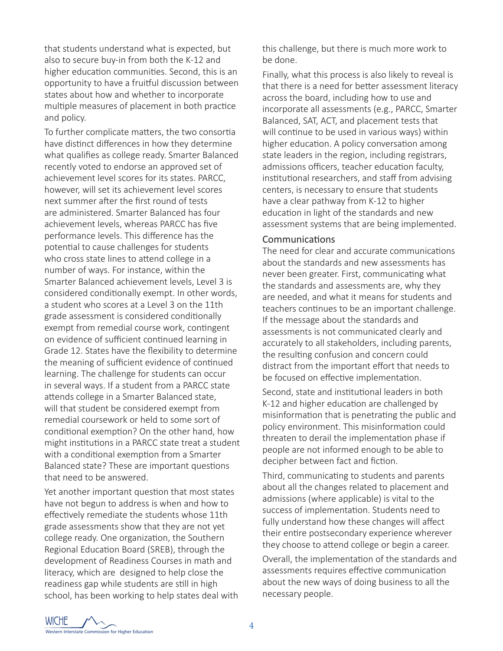that students understand what is expected, but also to secure buy-in from both the K-12 and higher education communities. Second, this is an opportunity to have a fruitful discussion between states about how and whether to incorporate multiple measures of placement in both practice and policy.

To further complicate matters, the two consortia have distinct differences in how they determine what qualifies as college ready. Smarter Balanced recently voted to endorse an approved set of achievement level scores for its states. PARCC, however, will set its achievement level scores next summer after the first round of tests are administered. Smarter Balanced has four achievement levels, whereas PARCC has five performance levels. This difference has the potential to cause challenges for students who cross state lines to attend college in a number of ways. For instance, within the Smarter Balanced achievement levels, Level 3 is considered conditionally exempt. In other words, a student who scores at a Level 3 on the 11th grade assessment is considered conditionally exempt from remedial course work, contingent on evidence of sufficient continued learning in Grade 12. States have the flexibility to determine the meaning of sufficient evidence of continued learning. The challenge for students can occur in several ways. If a student from a PARCC state attends college in a Smarter Balanced state, will that student be considered exempt from remedial coursework or held to some sort of conditional exemption? On the other hand, how might institutions in a PARCC state treat a student with a conditional exemption from a Smarter Balanced state? These are important questions that need to be answered.

Yet another important question that most states have not begun to address is when and how to effectively remediate the students whose 11th grade assessments show that they are not yet college ready. One organization, the Southern Regional Education Board (SREB), through the development of Readiness Courses in math and literacy, which are designed to help close the readiness gap while students are still in high school, has been working to help states deal with this challenge, but there is much more work to be done.

Finally, what this process is also likely to reveal is that there is a need for better assessment literacy across the board, including how to use and incorporate all assessments (e.g., PARCC, Smarter Balanced, SAT, ACT, and placement tests that will continue to be used in various ways) within higher education. A policy conversation among state leaders in the region, including registrars, admissions officers, teacher education faculty, institutional researchers, and staff from advising centers, is necessary to ensure that students have a clear pathway from K-12 to higher education in light of the standards and new assessment systems that are being implemented.

#### Communications

The need for clear and accurate communications about the standards and new assessments has never been greater. First, communicating what the standards and assessments are, why they are needed, and what it means for students and teachers continues to be an important challenge. If the message about the standards and assessments is not communicated clearly and accurately to all stakeholders, including parents, the resulting confusion and concern could distract from the important effort that needs to be focused on effective implementation.

Second, state and institutional leaders in both K-12 and higher education are challenged by misinformation that is penetrating the public and policy environment. This misinformation could threaten to derail the implementation phase if people are not informed enough to be able to decipher between fact and fiction.

Third, communicating to students and parents about all the changes related to placement and admissions (where applicable) is vital to the success of implementation. Students need to fully understand how these changes will affect their entire postsecondary experience wherever they choose to attend college or begin a career.

Overall, the implementation of the standards and assessments requires effective communication about the new ways of doing business to all the necessary people.

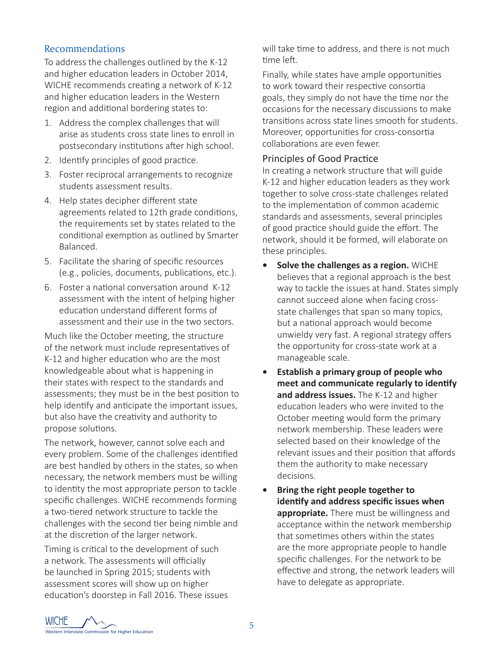## Recommendations

To address the challenges outlined by the K-12 and higher education leaders in October 2014, WICHE recommends creating a network of K-12 and higher education leaders in the Western region and additional bordering states to:

- 1. Address the complex challenges that will arise as students cross state lines to enroll in postsecondary institutions after high school.
- 2. Identify principles of good practice.
- 3. Foster reciprocal arrangements to recognize students assessment results.
- 4. Help states decipher different state agreements related to 12th grade conditions, the requirements set by states related to the conditional exemption as outlined by Smarter Balanced.
- 5. Facilitate the sharing of specific resources (e.g., policies, documents, publications, etc.).
- 6. Foster a national conversation around K-12 assessment with the intent of helping higher education understand different forms of assessment and their use in the two sectors.

Much like the October meeting, the structure of the network must include representatives of K-12 and higher education who are the most knowledgeable about what is happening in their states with respect to the standards and assessments; they must be in the best position to help identify and anticipate the important issues, but also have the creativity and authority to propose solutions.

The network, however, cannot solve each and every problem. Some of the challenges identified are best handled by others in the states, so when necessary, the network members must be willing to identity the most appropriate person to tackle specific challenges. WICHE recommends forming a two-tiered network structure to tackle the challenges with the second tier being nimble and at the discretion of the larger network.

Timing is critical to the development of such a network. The assessments will officially be launched in Spring 2015; students with assessment scores will show up on higher education's doorstep in Fall 2016. These issues will take time to address, and there is not much time left.

Finally, while states have ample opportunities to work toward their respective consortia goals, they simply do not have the time nor the occasions for the necessary discussions to make transitions across state lines smooth for students. Moreover, opportunities for cross-consortia collaborations are even fewer.

## Principles of Good Practice

In creating a network structure that will guide K-12 and higher education leaders as they work together to solve cross-state challenges related to the implementation of common academic standards and assessments, several principles of good practice should guide the effort. The network, should it be formed, will elaborate on these principles.

- **• Solve the challenges as a region.** WICHE believes that a regional approach is the best way to tackle the issues at hand. States simply cannot succeed alone when facing crossstate challenges that span so many topics, but a national approach would become unwieldy very fast. A regional strategy offers the opportunity for cross-state work at a manageable scale.
- **• Establish a primary group of people who meet and communicate regularly to identify and address issues.** The K-12 and higher education leaders who were invited to the October meeting would form the primary network membership. These leaders were selected based on their knowledge of the relevant issues and their position that affords them the authority to make necessary decisions.
- **• Bring the right people together to identify and address specific issues when appropriate.** There must be willingness and acceptance within the network membership that sometimes others within the states are the more appropriate people to handle specific challenges. For the network to be effective and strong, the network leaders will have to delegate as appropriate.